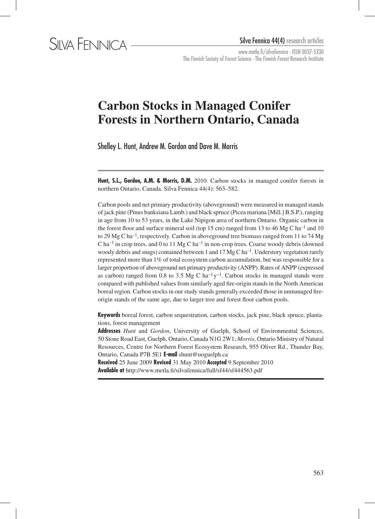www.metla.fi/silvafennica · ISSN 0037-5330 The Finnish Society of Forest Science · The Finnish Forest Research Institute

# **Carbon Stocks in Managed Conifer Forests in Northern Ontario, Canada**

Shelley L. Hunt, Andrew M. Gordon and Dave M. Morris

**Hunt, S.L., Gordon, A.M. & Morris, D.M.** 2010. Carbon stocks in managed conifer forests in northern Ontario, Canada. Silva Fennica 44(4): 563–582.

Carbon pools and net primary productivity (aboveground) were measured in managed stands of jack pine (Pinus banksiana Lamb.) and black spruce (Picea mariana [Mill.] B.S.P.), ranging in age from 10 to 53 years, in the Lake Nipigon area of northern Ontario. Organic carbon in the forest floor and surface mineral soil (top 15 cm) ranged from 13 to 46 Mg C ha<sup>-1</sup> and 10 to 29 Mg C ha<sup>-1</sup>, respectively. Carbon in aboveground tree biomass ranged from 11 to 74 Mg  $Cha^{-1}$  in crop trees, and 0 to 11 Mg C ha<sup>-1</sup> in non-crop trees. Coarse woody debris (downed woody debris and snags) contained between 1 and 17 Mg C ha<sup>-1</sup>. Understory vegetation rarely represented more than 1% of total ecosystem carbon accumulation, but was responsible for a larger proportion of aboveground net primary productivity (ANPP). Rates of ANPP (expressed as carbon) ranged from 0.8 to 3.5 Mg C ha<sup>-1</sup> y<sup>-1</sup>. Carbon stocks in managed stands were compared with published values from similarly aged fire-origin stands in the North American boreal region. Carbon stocks in our study stands generally exceeded those in unmanaged fireorigin stands of the same age, due to larger tree and forest floor carbon pools.

**Keywords** boreal forest, carbon sequestration, carbon stocks, jack pine, black spruce, plantations, forest management

**Addresses** *Hunt* and *Gordon*, University of Guelph, School of Environmental Sciences, 50 Stone Road East, Guelph, Ontario, Canada N1G 2W1; *Morris*, Ontario Ministry of Natural Resources, Centre for Northern Forest Ecosystem Research, 955 Oliver Rd., Thunder Bay, Ontario, Canada P7B 5E1 **E-mail** shunt@uoguelph.ca

**Received** 25 June 2009 **Revised** 31 May 2010 **Accepted** 9 September 2010 **Available at** http://www.metla.fi/silvafennica/full/sf44/sf444563.pdf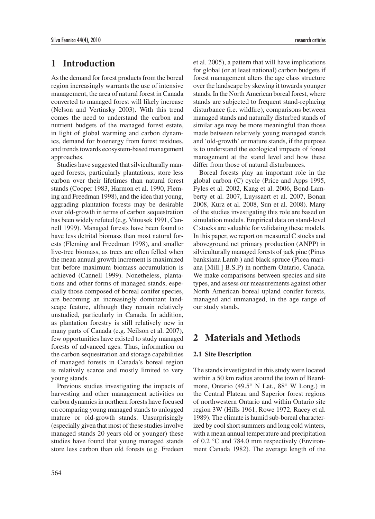# **1 Introduction**

As the demand for forest products from the boreal region increasingly warrants the use of intensive management, the area of natural forest in Canada converted to managed forest will likely increase (Nelson and Vertinsky 2003). With this trend comes the need to understand the carbon and nutrient budgets of the managed forest estate, in light of global warming and carbon dynamics, demand for bioenergy from forest residues, and trends towards ecosystem-based management approaches.

Studies have suggested that silviculturally managed forests, particularly plantations, store less carbon over their lifetimes than natural forest stands (Cooper 1983, Harmon et al. 1990, Fleming and Freedman 1998), and the idea that young, aggrading plantation forests may be desirable over old-growth in terms of carbon sequestration has been widely refuted (e.g. Vitousek 1991, Cannell 1999). Managed forests have been found to have less detrital biomass than most natural forests (Fleming and Freedman 1998), and smaller live-tree biomass, as trees are often felled when the mean annual growth increment is maximized but before maximum biomass accumulation is achieved (Cannell 1999). Nonetheless, plantations and other forms of managed stands, especially those composed of boreal conifer species, are becoming an increasingly dominant landscape feature, although they remain relatively unstudied, particularly in Canada. In addition, as plantation forestry is still relatively new in many parts of Canada (e.g. Neilson et al. 2007), few opportunities have existed to study managed forests of advanced ages. Thus, information on the carbon sequestration and storage capabilities of managed forests in Canada's boreal region is relatively scarce and mostly limited to very young stands.

Previous studies investigating the impacts of harvesting and other management activities on carbon dynamics in northern forests have focused on comparing young managed stands to unlogged mature or old-growth stands. Unsurprisingly (especially given that most of these studies involve managed stands 20 years old or younger) these studies have found that young managed stands store less carbon than old forests (e.g. Fredeen et al. 2005), a pattern that will have implications for global (or at least national) carbon budgets if forest management alters the age class structure over the landscape by skewing it towards younger stands. In the North American boreal forest, where stands are subjected to frequent stand-replacing disturbance (i.e. wildfire), comparisons between managed stands and naturally disturbed stands of similar age may be more meaningful than those made between relatively young managed stands and 'old-growth' or mature stands, if the purpose is to understand the ecological impacts of forest management at the stand level and how these differ from those of natural disturbances.

Boreal forests play an important role in the global carbon (C) cycle (Price and Apps 1995, Fyles et al. 2002, Kang et al. 2006, Bond-Lamberty et al. 2007, Luyssaert et al. 2007, Bonan 2008, Kurz et al. 2008, Sun et al. 2008). Many of the studies investigating this role are based on simulation models. Empirical data on stand-level C stocks are valuable for validating these models. In this paper, we report on measured C stocks and aboveground net primary production (ANPP) in silviculturally managed forests of jack pine (Pinus banksiana Lamb.) and black spruce (Picea mariana [Mill.] B.S.P) in northern Ontario, Canada. We make comparisons between species and site types, and assess our measurements against other North American boreal upland conifer forests, managed and unmanaged, in the age range of our study stands.

# **2 Materials and Methods**

### **2.1 Site Description**

The stands investigated in this study were located within a 50 km radius around the town of Beardmore, Ontario (49.5° N Lat., 88° W Long.) in the Central Plateau and Superior forest regions of northwestern Ontario and within Ontario site region 3W (Hills 1961, Rowe 1972, Racey et al. 1989). The climate is humid sub-boreal characterized by cool short summers and long cold winters, with a mean annual temperature and precipitation of 0.2 °C and 784.0 mm respectively (Environment Canada 1982). The average length of the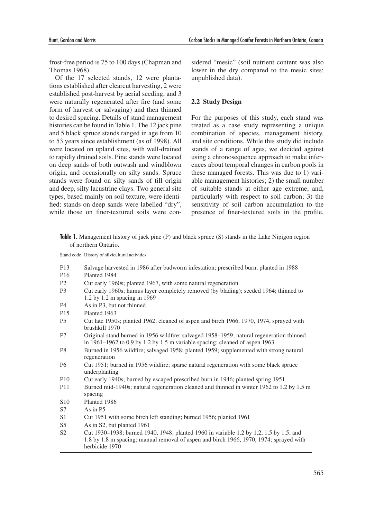frost-free period is 75 to 100 days (Chapman and Thomas 1968).

Of the 17 selected stands, 12 were plantations established after clearcut harvesting, 2 were established post-harvest by aerial seeding, and 3 were naturally regenerated after fire (and some form of harvest or salvaging) and then thinned to desired spacing. Details of stand management histories can be found in Table 1. The 12 jack pine and 5 black spruce stands ranged in age from 10 to 53 years since establishment (as of 1998). All were located on upland sites, with well-drained to rapidly drained soils. Pine stands were located on deep sands of both outwash and windblown origin, and occasionally on silty sands. Spruce stands were found on silty sands of till origin and deep, silty lacustrine clays. Two general site types, based mainly on soil texture, were identified: stands on deep sands were labelled "dry", while those on finer-textured soils were considered "mesic" (soil nutrient content was also lower in the dry compared to the mesic sites; unpublished data).

### **2.2 Study Design**

For the purposes of this study, each stand was treated as a case study representing a unique combination of species, management history, and site conditions. While this study did include stands of a range of ages, we decided against using a chronosequence approach to make inferences about temporal changes in carbon pools in these managed forests. This was due to 1) variable management histories; 2) the small number of suitable stands at either age extreme, and, particularly with respect to soil carbon; 3) the sensitivity of soil carbon accumulation to the presence of finer-textured soils in the profile,

**Table 1.** Management history of jack pine (P) and black spruce (S) stands in the Lake Nipigon region of northern Ontario.

|                 | Stand code History of silvicultural activities                                                                                                                                                     |
|-----------------|----------------------------------------------------------------------------------------------------------------------------------------------------------------------------------------------------|
| P <sub>13</sub> | Salvage harvested in 1986 after budworm infestation; prescribed burn; planted in 1988                                                                                                              |
| P <sub>16</sub> | Planted 1984                                                                                                                                                                                       |
| P <sub>2</sub>  | Cut early 1960s; planted 1967, with some natural regeneration                                                                                                                                      |
| P <sub>3</sub>  | Cut early 1960s; humus layer completely removed (by blading); seeded 1964; thinned to<br>$1.2$ by $1.2$ m spacing in 1969                                                                          |
| <b>P4</b>       | As in P3, but not thinned                                                                                                                                                                          |
| P <sub>15</sub> | Planted 1963                                                                                                                                                                                       |
| <b>P5</b>       | Cut late 1950s; planted 1962; cleaned of aspen and birch 1966, 1970, 1974, sprayed with<br>brushkill 1970                                                                                          |
| P7              | Original stand burned in 1956 wildfire; salvaged 1958–1959; natural regeneration thinned<br>in $1961-1962$ to 0.9 by 1.2 by 1.5 m variable spacing; cleaned of aspen 1963                          |
| P <sub>8</sub>  | Burned in 1956 wildfire; salvaged 1958; planted 1959; supplemented with strong natural<br>regeneration                                                                                             |
| <b>P6</b>       | Cut 1951; burned in 1956 wildfire; sparse natural regeneration with some black spruce<br>underplanting                                                                                             |
| P <sub>10</sub> | Cut early 1940s; burned by escaped prescribed burn in 1946; planted spring 1951                                                                                                                    |
| P <sub>11</sub> | Burned mid-1940s; natural regeneration cleaned and thinned in winter 1962 to 1.2 by 1.5 m<br>spacing                                                                                               |
| S <sub>10</sub> | Planted 1986                                                                                                                                                                                       |
| S7              | As in $P5$                                                                                                                                                                                         |
| S1              | Cut 1951 with some birch left standing; burned 1956; planted 1961                                                                                                                                  |
| S <sub>5</sub>  | As in S2, but planted 1961                                                                                                                                                                         |
| S <sub>2</sub>  | Cut 1930–1938; burned 1940, 1948; planted 1960 in variable 1.2 by 1.2, 1.5 by 1.5, and<br>1.8 by 1.8 m spacing; manual removal of aspen and birch 1966, 1970, 1974; sprayed with<br>herbicide 1970 |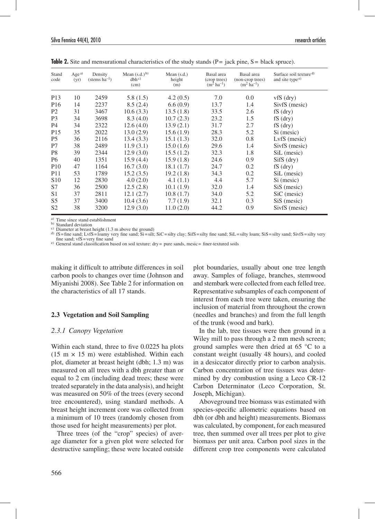| Stand<br>code   | $Age^{a)}$<br>(yr) | Density<br>(stems $ha^{-1}$ ) | Mean $(s.d.)$ <sup>b)</sup><br>dbh <sup>c</sup><br>(cm) | Mean $(s.d.)$<br>height<br>(m) | Basal area<br>(crop trees)<br>$(m^2 \text{ ha}^{-1})$ | Basal area<br>(non-crop trees)<br>$(m^2 \text{ ha}^{-1})$ | Surface soil texture <sup>d)</sup><br>and site type <sup>e)</sup> |
|-----------------|--------------------|-------------------------------|---------------------------------------------------------|--------------------------------|-------------------------------------------------------|-----------------------------------------------------------|-------------------------------------------------------------------|
| P <sub>13</sub> | 10                 | 2459                          | 5.8(1.5)                                                | 4.2(0.5)                       | 7.0                                                   | 0.0                                                       | $vfs$ (dry)                                                       |
| P <sub>16</sub> | 14                 | 2237                          | 8.5(2.4)                                                | 6.6(0.9)                       | 13.7                                                  | 1.4                                                       | SivfS (mesic)                                                     |
| P <sub>2</sub>  | 31                 | 3467                          | 10.6(3.3)                                               | 13.5(1.8)                      | 33.5                                                  | 2.6                                                       | $fS$ (dry)                                                        |
| P <sub>3</sub>  | 34                 | 3698                          | 8.3(4.0)                                                | 10.7(2.3)                      | 23.2                                                  | 1.5                                                       | $fS$ (dry)                                                        |
| P <sub>4</sub>  | 34                 | 2322                          | 12.6(4.0)                                               | 13.9(2.1)                      | 31.7                                                  | 2.7                                                       | $fS$ (dry)                                                        |
| P <sub>15</sub> | 35                 | 2022                          | 13.0(2.9)                                               | 15.6(1.9)                      | 28.3                                                  | 5.2                                                       | Si (mesic)                                                        |
| P <sub>5</sub>  | 36                 | 2116                          | 13.4(3.3)                                               | 15.1(1.3)                      | 32.0                                                  | 0.8                                                       | LyfS (mesic)                                                      |
| P7              | 38                 | 2489                          | 11.9(3.1)                                               | 15.0(1.6)                      | 29.6                                                  | 1.4                                                       | SivfS (mesic)                                                     |
| P <sub>8</sub>  | 39                 | 2344                          | 12.9(3.0)                                               | 15.5(1.2)                      | 32.3                                                  | 1.8                                                       | SiL (mesic)                                                       |
| P <sub>6</sub>  | 40                 | 1351                          | 15.9(4.4)                                               | 15.9(1.8)                      | 24.6                                                  | 0.9                                                       | $SifS$ (dry)                                                      |
| <b>P10</b>      | 47                 | 1164                          | 16.7(3.0)                                               | 18.1(1.7)                      | 24.7                                                  | 0.2                                                       | $fS$ (dry)                                                        |
| <b>P11</b>      | 53                 | 1789                          | 15.2(3.5)                                               | 19.2(1.8)                      | 34.3                                                  | 0.2                                                       | SiL (mesic)                                                       |
| S <sub>10</sub> | 12                 | 2830                          | 4.0(2.0)                                                | 4.1(1.1)                       | 4.4                                                   | 5.7                                                       | Si (mesic)                                                        |
| S7              | 36                 | 2500                          | 12.5(2.8)                                               | 10.1(1.9)                      | 32.0                                                  | 1.4                                                       | SiS (mesic)                                                       |
| S <sub>1</sub>  | 37                 | 2811                          | 12.1(2.7)                                               | 10.8(1.7)                      | 34.0                                                  | 5.2                                                       | SiC (mesic)                                                       |
| S <sub>5</sub>  | 37                 | 3400                          | 10.4(3.6)                                               | 7.7(1.9)                       | 32.1                                                  | 0.3                                                       | SiS (mesic)                                                       |
| S <sub>2</sub>  | 38                 | 3200                          | 12.9(3.0)                                               | 11.0(2.0)                      | 44.2                                                  | 0.9                                                       | SivfS (mesic)                                                     |

**Table 2.** Site and mensurational characteristics of the study stands (P= jack pine, S= black spruce).

<sup>a)</sup> Time since stand establishment<br><sup>b)</sup> Standard deviation

b) Standard deviation channels deviation condition condition condition condition condition condition condition condition condition condition condition condition sand; LvfS=loamy very fine sand; Si $\text{S}$ =silty clay; SifS=

 $f(x)$  General stand classification based on soil texture: dry = pure sands, mesic = finer-textured soils

making it difficult to attribute differences in soil carbon pools to changes over time (Johnson and Miyanishi 2008). See Table 2 for information on the characteristics of all 17 stands.

### **2.3 Vegetation and Soil Sampling**

### *2.3.1 Canopy Vegetation*

Within each stand, three to five 0.0225 ha plots  $(15 \text{ m} \times 15 \text{ m})$  were established. Within each plot, diameter at breast height (dbh; 1.3 m) was measured on all trees with a dbh greater than or equal to 2 cm (including dead trees; these were treated separately in the data analysis), and height was measured on 50% of the trees (every second tree encountered), using standard methods. A breast height increment core was collected from a minimum of 10 trees (randomly chosen from those used for height measurements) per plot.

Three trees (of the "crop" species) of average diameter for a given plot were selected for destructive sampling; these were located outside plot boundaries, usually about one tree length away. Samples of foliage, branches, stemwood and stembark were collected from each felled tree. Representative subsamples of each component of interest from each tree were taken, ensuring the inclusion of material from throughout the crown (needles and branches) and from the full length of the trunk (wood and bark).

In the lab, tree tissues were then ground in a Wiley mill to pass through a 2 mm mesh screen; ground samples were then dried at 65 °C to a constant weight (usually 48 hours), and cooled in a desiccator directly prior to carbon analysis. Carbon concentration of tree tissues was determined by dry combustion using a Leco CR-12 Carbon Determinator (Leco Corporation, St. Joseph, Michigan).

Aboveground tree biomass was estimated with species-specific allometric equations based on dbh (or dbh and height) measurements. Biomass was calculated, by component, for each measured tree, then summed over all trees per plot to give biomass per unit area. Carbon pool sizes in the different crop tree components were calculated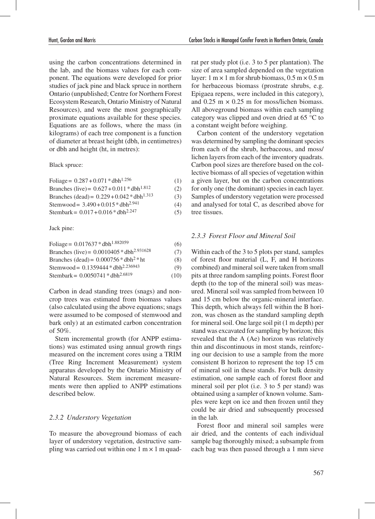using the carbon concentrations determined in the lab, and the biomass values for each component. The equations were developed for prior studies of jack pine and black spruce in northern Ontario (unpublished; Centre for Northern Forest Ecosystem Research, Ontario Ministry of Natural Resources), and were the most geographically proximate equations available for these species. Equations are as follows, where the mass (in kilograms) of each tree component is a function of diameter at breast height (dbh, in centimetres) or dbh and height (ht, in metres):

Black spruce:

| Foliage = $0.287 + 0.071 *$ dbh <sup>1.256</sup>  | (1) |
|---------------------------------------------------|-----|
| Branches (live) = $0.627 + 0.011 * dbh^{1.812}$   | (2) |
| Branches (dead) = $0.229 + 0.042 * dbh^{1.313}$   | (3) |
| Stemwood = $3.490 + 0.015 * dbh2.941$             | (4) |
| Stembark = $0.017 + 0.016 *$ dbh <sup>2.247</sup> | (5) |

Jack pine:

| Foliage = $0.017637 * dbh^{1.882059}$          | (6)  |
|------------------------------------------------|------|
| Branches (live) = $0.0010405 * dbh2.931628$    | (7)  |
| Branches (dead) = $0.000756 * dbh2 * ht$       | (8)  |
| Stemwood = 0.1359444 * dbh <sup>2.236943</sup> | (9)  |
| Stembark = 0.0050741 * dbh <sup>2.6819</sup>   | (10) |

Carbon in dead standing trees (snags) and noncrop trees was estimated from biomass values (also calculated using the above equations; snags were assumed to be composed of stemwood and bark only) at an estimated carbon concentration of 50%.

Stem incremental growth (for ANPP estimations) was estimated using annual growth rings measured on the increment cores using a TRIM (Tree Ring Increment Measurement) system apparatus developed by the Ontario Ministry of Natural Resources. Stem increment measurements were then applied to ANPP estimations described below.

### *2.3.2 Understory Vegetation*

To measure the aboveground biomass of each layer of understory vegetation, destructive sampling was carried out within one  $1 \text{ m} \times 1 \text{ m}$  quadrat per study plot (i.e. 3 to 5 per plantation). The size of area sampled depended on the vegetation layer:  $1 \text{ m} \times 1 \text{ m}$  for shrub biomass,  $0.5 \text{ m} \times 0.5 \text{ m}$ for herbaceous biomass (prostrate shrubs, e.g. Epigaea repens, were included in this category), and  $0.25 \text{ m} \times 0.25 \text{ m}$  for moss/lichen biomass. All aboveground biomass within each sampling category was clipped and oven dried at 65 °C to a constant weight before weighing.

Carbon content of the understory vegetation was determined by sampling the dominant species from each of the shrub, herbaceous, and moss/ lichen layers from each of the inventory quadrats. Carbon pool sizes are therefore based on the collective biomass of all species of vegetation within a given layer, but on the carbon concentrations for only one (the dominant) species in each layer. Samples of understory vegetation were processed and analysed for total C, as described above for tree tissues.

### *2.3.3 Forest Floor and Mineral Soil*

Within each of the 3 to 5 plots per stand, samples of forest floor material (L, F, and H horizons combined) and mineral soil were taken from small pits at three random sampling points. Forest floor depth (to the top of the mineral soil) was measured. Mineral soil was sampled from between 10 and 15 cm below the organic-mineral interface. This depth, which always fell within the B horizon, was chosen as the standard sampling depth for mineral soil. One large soil pit (1 m depth) per stand was excavated for sampling by horizon; this revealed that the A (Ae) horizon was relatively thin and discontinuous in most stands, reinforcing our decision to use a sample from the more consistent B horizon to represent the top 15 cm of mineral soil in these stands. For bulk density estimation, one sample each of forest floor and mineral soil per plot (i.e. 3 to 5 per stand) was obtained using a sampler of known volume. Samples were kept on ice and then frozen until they could be air dried and subsequently processed in the lab.

Forest floor and mineral soil samples were air dried, and the contents of each individual sample bag thoroughly mixed; a subsample from each bag was then passed through a 1 mm sieve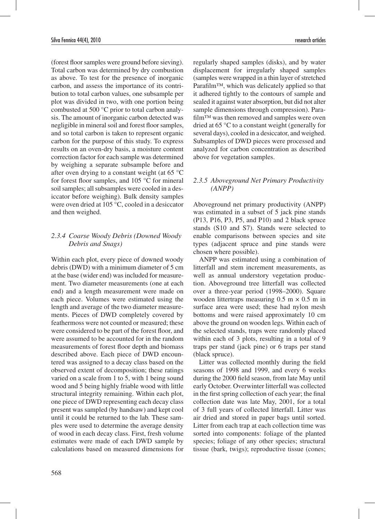(forest floor samples were ground before sieving). Total carbon was determined by dry combustion as above. To test for the presence of inorganic carbon, and assess the importance of its contribution to total carbon values, one subsample per plot was divided in two, with one portion being combusted at 500 °C prior to total carbon analysis. The amount of inorganic carbon detected was negligible in mineral soil and forest floor samples, and so total carbon is taken to represent organic carbon for the purpose of this study. To express results on an oven-dry basis, a moisture content correction factor for each sample was determined by weighing a separate subsample before and after oven drying to a constant weight (at 65 °C for forest floor samples, and 105 °C for mineral soil samples; all subsamples were cooled in a desiccator before weighing). Bulk density samples were oven dried at 105 °C, cooled in a desiccator and then weighed.

### *2.3.4 Coarse Woody Debris (Downed Woody Debris and Snags)*

Within each plot, every piece of downed woody debris (DWD) with a minimum diameter of 5 cm at the base (wider end) was included for measurement. Two diameter measurements (one at each end) and a length measurement were made on each piece. Volumes were estimated using the length and average of the two diameter measurements. Pieces of DWD completely covered by feathermoss were not counted or measured; these were considered to be part of the forest floor, and were assumed to be accounted for in the random measurements of forest floor depth and biomass described above. Each piece of DWD encountered was assigned to a decay class based on the observed extent of decomposition; these ratings varied on a scale from 1 to 5, with 1 being sound wood and 5 being highly friable wood with little structural integrity remaining. Within each plot, one piece of DWD representing each decay class present was sampled (by handsaw) and kept cool until it could be returned to the lab. These samples were used to determine the average density of wood in each decay class. First, fresh volume estimates were made of each DWD sample by calculations based on measured dimensions for

regularly shaped samples (disks), and by water displacement for irregularly shaped samples (samples were wrapped in a thin layer of stretched Parafilm™, which was delicately applied so that it adhered tightly to the contours of sample and sealed it against water absorption, but did not alter sample dimensions through compression). Parafilm™ was then removed and samples were oven dried at 65 °C to a constant weight (generally for several days), cooled in a desiccator, and weighed. Subsamples of DWD pieces were processed and analyzed for carbon concentration as described above for vegetation samples.

### *2.3.5 Aboveground Net Primary Productivity (ANPP)*

Aboveground net primary productivity (ANPP) was estimated in a subset of 5 jack pine stands (P13, P16, P3, P5, and P10) and 2 black spruce stands (S10 and S7). Stands were selected to enable comparisons between species and site types (adjacent spruce and pine stands were chosen where possible).

ANPP was estimated using a combination of litterfall and stem increment measurements, as well as annual understory vegetation production. Aboveground tree litterfall was collected over a three-year period (1998–2000). Square wooden littertraps measuring  $0.5 \text{ m} \times 0.5 \text{ m}$  in surface area were used; these had nylon mesh bottoms and were raised approximately 10 cm above the ground on wooden legs. Within each of the selected stands, traps were randomly placed within each of 3 plots, resulting in a total of 9 traps per stand (jack pine) or 6 traps per stand (black spruce).

Litter was collected monthly during the field seasons of 1998 and 1999, and every 6 weeks during the 2000 field season, from late May until early October. Overwinter litterfall was collected in the first spring collection of each year; the final collection date was late May, 2001, for a total of 3 full years of collected litterfall. Litter was air dried and stored in paper bags until sorted. Litter from each trap at each collection time was sorted into components: foliage of the planted species; foliage of any other species; structural tissue (bark, twigs); reproductive tissue (cones;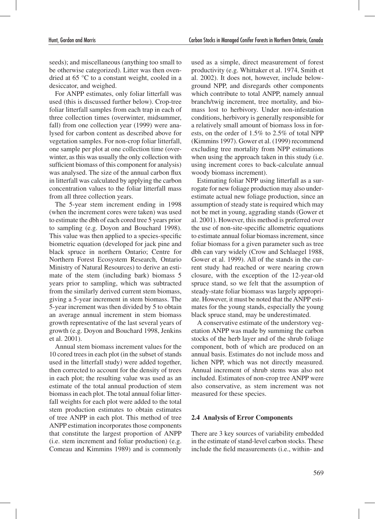seeds); and miscellaneous (anything too small to be otherwise categorized). Litter was then ovendried at 65 °C to a constant weight, cooled in a desiccator, and weighed.

For ANPP estimates, only foliar litterfall was used (this is discussed further below). Crop-tree foliar litterfall samples from each trap in each of three collection times (overwinter, midsummer, fall) from one collection year (1999) were analysed for carbon content as described above for vegetation samples. For non-crop foliar litterfall, one sample per plot at one collection time (overwinter, as this was usually the only collection with sufficient biomass of this component for analysis) was analysed. The size of the annual carbon flux in litterfall was calculated by applying the carbon concentration values to the foliar litterfall mass from all three collection years.

The 5-year stem increment ending in 1998 (when the increment cores were taken) was used to estimate the dbh of each cored tree 5 years prior to sampling (e.g. Doyon and Bouchard 1998). This value was then applied to a species-specific biometric equation (developed for jack pine and black spruce in northern Ontario; Centre for Northern Forest Ecosystem Research, Ontario Ministry of Natural Resources) to derive an estimate of the stem (including bark) biomass 5 years prior to sampling, which was subtracted from the similarly derived current stem biomass, giving a 5-year increment in stem biomass. The 5-year increment was then divided by 5 to obtain an average annual increment in stem biomass growth representative of the last several years of growth (e.g. Doyon and Bouchard 1998, Jenkins et al. 2001).

Annual stem biomass increment values for the 10 cored trees in each plot (in the subset of stands used in the litterfall study) were added together, then corrected to account for the density of trees in each plot; the resulting value was used as an estimate of the total annual production of stem biomass in each plot. The total annual foliar litterfall weights for each plot were added to the total stem production estimates to obtain estimates of tree ANPP in each plot. This method of tree ANPP estimation incorporates those components that constitute the largest proportion of ANPP (i.e. stem increment and foliar production) (e.g. Comeau and Kimmins 1989) and is commonly

used as a simple, direct measurement of forest productivity (e.g. Whittaker et al. 1974, Smith et al. 2002). It does not, however, include belowground NPP, and disregards other components which contribute to total ANPP, namely annual branch/twig increment, tree mortality, and biomass lost to herbivory. Under non-infestation conditions, herbivory is generally responsible for a relatively small amount of biomass loss in forests, on the order of 1.5% to 2.5% of total NPP (Kimmins 1997). Gower et al. (1999) recommend excluding tree mortality from NPP estimations when using the approach taken in this study (i.e. using increment cores to back-calculate annual woody biomass increment).

Estimating foliar NPP using litterfall as a surrogate for new foliage production may also underestimate actual new foliage production, since an assumption of steady state is required which may not be met in young, aggrading stands (Gower et al. 2001). However, this method is preferred over the use of non-site-specific allometric equations to estimate annual foliar biomass increment, since foliar biomass for a given parameter such as tree dbh can vary widely (Crow and Schlaegel 1988, Gower et al. 1999). All of the stands in the current study had reached or were nearing crown closure, with the exception of the 12-year-old spruce stand, so we felt that the assumption of steady-state foliar biomass was largely appropriate. However, it must be noted that the ANPP estimates for the young stands, especially the young black spruce stand, may be underestimated.

A conservative estimate of the understory vegetation ANPP was made by summing the carbon stocks of the herb layer and of the shrub foliage component, both of which are produced on an annual basis. Estimates do not include moss and lichen NPP, which was not directly measured. Annual increment of shrub stems was also not included. Estimates of non-crop tree ANPP were also conservative, as stem increment was not measured for these species.

### **2.4 Analysis of Error Components**

There are 3 key sources of variability embedded in the estimate of stand-level carbon stocks. These include the field measurements (i.e., within- and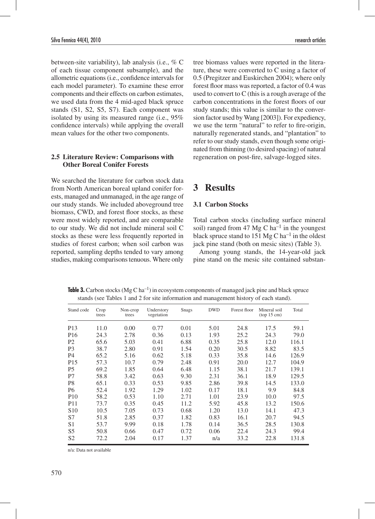between-site variability), lab analysis (i.e., % C of each tissue component subsample), and the allometric equations (i.e., confidence intervals for each model parameter). To examine these error components and their effects on carbon estimates, we used data from the 4 mid-aged black spruce stands (S1, S2, S5, S7). Each component was isolated by using its measured range (i.e., 95% confidence intervals) while applying the overall mean values for the other two components.

#### **2.5 Literature Review: Comparisons with Other Boreal Conifer Forests**

We searched the literature for carbon stock data from North American boreal upland conifer forests, managed and unmanaged, in the age range of our study stands. We included aboveground tree biomass, CWD, and forest floor stocks, as these were most widely reported, and are comparable to our study. We did not include mineral soil C stocks as these were less frequently reported in studies of forest carbon; when soil carbon was reported, sampling depths tended to vary among studies, making comparisons tenuous. Where only tree biomass values were reported in the literature, these were converted to C using a factor of 0.5 (Pregitzer and Euskirchen 2004); where only forest floor mass was reported, a factor of 0.4 was used to convert to C (this is a rough average of the carbon concentrations in the forest floors of our study stands; this value is similar to the conversion factor used by Wang [2003]). For expediency, we use the term "natural" to refer to fire-origin, naturally regenerated stands, and "plantation" to refer to our study stands, even though some originated from thinning (to desired spacing) of natural regeneration on post-fire, salvage-logged sites.

# **3 Results**

### **3.1 Carbon Stocks**

Total carbon stocks (including surface mineral soil) ranged from 47 Mg C ha<sup>-1</sup> in the youngest black spruce stand to  $151 \text{ Mg C} \text{ ha}^{-1}$  in the oldest jack pine stand (both on mesic sites) (Table 3).

Among young stands, the 14-year-old jack pine stand on the mesic site contained substan-

**Table 3.** Carbon stocks (Mg C ha<sup>-1</sup>) in ecosystem components of managed jack pine and black spruce stands (see Tables 1 and 2 for site information and management history of each stand).

| Stand code      | Crop<br>trees | Non-crop<br>trees | Understory<br>vegetation | Snags | <b>DWD</b> | Forest floor | Mineral soil<br>(top 15 cm) | Total |
|-----------------|---------------|-------------------|--------------------------|-------|------------|--------------|-----------------------------|-------|
| P <sub>13</sub> | 11.0          | 0.00              | 0.77                     | 0.01  | 5.01       | 24.8         | 17.5                        | 59.1  |
| P <sub>16</sub> | 24.3          | 2.78              | 0.36                     | 0.13  | 1.93       | 25.2         | 24.3                        | 79.0  |
| P <sub>2</sub>  | 65.6          | 5.03              | 0.41                     | 6.88  | 0.35       | 25.8         | 12.0                        | 116.1 |
| P <sub>3</sub>  | 38.7          | 2.80              | 0.91                     | 1.54  | 0.20       | 30.5         | 8.82                        | 83.5  |
| <b>P4</b>       | 65.2          | 5.16              | 0.62                     | 5.18  | 0.33       | 35.8         | 14.6                        | 126.9 |
| P <sub>15</sub> | 57.3          | 10.7              | 0.79                     | 2.48  | 0.91       | 20.0         | 12.7                        | 104.9 |
| <b>P5</b>       | 69.2          | 1.85              | 0.64                     | 6.48  | 1.15       | 38.1         | 21.7                        | 139.1 |
| P7              | 58.8          | 3.42              | 0.63                     | 9.30  | 2.31       | 36.1         | 18.9                        | 129.5 |
| P <sub>8</sub>  | 65.1          | 0.33              | 0.53                     | 9.85  | 2.86       | 39.8         | 14.5                        | 133.0 |
| <b>P6</b>       | 52.4          | 1.92              | 1.29                     | 1.02  | 0.17       | 18.1         | 9.9                         | 84.8  |
| P <sub>10</sub> | 58.2          | 0.53              | 1.10                     | 2.71  | 1.01       | 23.9         | 10.0                        | 97.5  |
| P <sub>11</sub> | 73.7          | 0.35              | 0.45                     | 11.2  | 5.92       | 45.8         | 13.2                        | 150.6 |
| S <sub>10</sub> | 10.5          | 7.05              | 0.73                     | 0.68  | 1.20       | 13.0         | 14.1                        | 47.3  |
| S7              | 51.8          | 2.85              | 0.37                     | 1.82  | 0.83       | 16.1         | 20.7                        | 94.5  |
| S <sub>1</sub>  | 53.7          | 9.99              | 0.18                     | 1.78  | 0.14       | 36.5         | 28.5                        | 130.8 |
| S <sub>5</sub>  | 50.8          | 0.66              | 0.47                     | 0.72  | 0.06       | 22.4         | 24.3                        | 99.4  |
| S <sub>2</sub>  | 72.2          | 2.04              | 0.17                     | 1.37  | n/a        | 33.2         | 22.8                        | 131.8 |

n/a: Data not available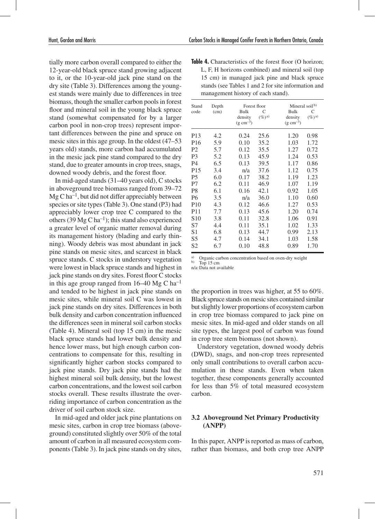tially more carbon overall compared to either the 12-year-old black spruce stand growing adjacent to it, or the 10-year-old jack pine stand on the dry site (Table 3). Differences among the youngest stands were mainly due to differences in tree biomass, though the smaller carbon pools in forest floor and mineral soil in the young black spruce stand (somewhat compensated for by a larger carbon pool in non-crop trees) represent important differences between the pine and spruce on mesic sites in this age group. In the oldest (47–53 years old) stands, more carbon had accumulated in the mesic jack pine stand compared to the dry stand, due to greater amounts in crop trees, snags, downed woody debris, and the forest floor.

In mid-aged stands (31–40 years old), C stocks in aboveground tree biomass ranged from 39–72  $Mg C$  ha<sup>-1</sup>, but did not differ appreciably between species or site types (Table 3). One stand (P3) had appreciably lower crop tree C compared to the others (39 Mg C ha<sup>-1</sup>); this stand also experienced a greater level of organic matter removal during its management history (blading and early thinning). Woody debris was most abundant in jack pine stands on mesic sites, and scarcest in black spruce stands. C stocks in understory vegetation were lowest in black spruce stands and highest in jack pine stands on dry sites. Forest floor C stocks in this age group ranged from  $16-40$  Mg C ha<sup>-1</sup> and tended to be highest in jack pine stands on mesic sites, while mineral soil C was lowest in jack pine stands on dry sites. Differences in both bulk density and carbon concentration influenced the differences seen in mineral soil carbon stocks (Table 4). Mineral soil (top 15 cm) in the mesic black spruce stands had lower bulk density and hence lower mass, but high enough carbon concentrations to compensate for this, resulting in significantly higher carbon stocks compared to jack pine stands. Dry jack pine stands had the highest mineral soil bulk density, but the lowest carbon concentrations, and the lowest soil carbon stocks overall. These results illustrate the overriding importance of carbon concentration as the driver of soil carbon stock size.

In mid-aged and older jack pine plantations on mesic sites, carbon in crop tree biomass (aboveground) constituted slightly over 50% of the total amount of carbon in all measured ecosystem components (Table 3). In jack pine stands on dry sites,

**Table 4.** Characteristics of the forest floor (O horizon: L, F, H horizons combined) and mineral soil (top 15 cm) in managed jack pine and black spruce stands (see Tables 1 and 2 for site information and management history of each stand).

| Stand           | Depth | Forest floor                     |                | Mineral soil $b$                 |                     |
|-----------------|-------|----------------------------------|----------------|----------------------------------|---------------------|
| code            | (cm)  | Bulk                             | C              | <b>Bulk</b>                      | C                   |
|                 |       | density<br>$(g \text{ cm}^{-3})$ | $(\%)^{\{a\}}$ | density<br>$(g \text{ cm}^{-3})$ | $(\%)^{\mathsf{a}}$ |
| P <sub>13</sub> | 4.2   | 0.24                             | 25.6           | 1.20                             | 0.98                |
| P <sub>16</sub> | 5.9   | 0.10                             | 35.2           | 1.03                             | 1.72                |
| P <sub>2</sub>  | 5.7   | 0.12                             | 35.5           | 1.27                             | 0.72                |
| P <sub>3</sub>  | 5.2   | 0.13                             | 45.9           | 1.24                             | 0.53                |
| P4              | 6.5   | 0.13                             | 39.5           | 1.17                             | 0.86                |
| P <sub>15</sub> | 3.4   | n/a                              | 37.6           | 1.12                             | 0.75                |
| P <sub>5</sub>  | 6.0   | 0.17                             | 38.2           | 1.19                             | 1.23                |
| P7              | 6.2   | 0.11                             | 46.9           | 1.07                             | 1.19                |
| P <sub>8</sub>  | 6.1   | 0.16                             | 42.1           | 0.92                             | 1.05                |
| <b>P6</b>       | 3.5   | n/a                              | 36.0           | 1.10                             | 0.60                |
| <b>P10</b>      | 4.3   | 0.12                             | 46.6           | 1.27                             | 0.53                |
| P <sub>11</sub> | 7.7   | 0.13                             | 45.6           | 1.20                             | 0.74                |
| S <sub>10</sub> | 3.8   | 0.11                             | 32.8           | 1.06                             | 0.91                |
| S7              | 4.4   | 0.11                             | 35.1           | 1.02                             | 1.33                |
| S <sub>1</sub>  | 6.8   | 0.13                             | 44.7           | 0.99                             | 2.13                |
| S5              | 4.7   | 0.14                             | 34.1           | 1.03                             | 1.58                |
| S <sub>2</sub>  | 6.7   | 0.10                             | 48.8           | 0.89                             | 1.70                |

a) Organic carbon concentration based on oven-dry weight b) Top 15 cm

n/a:Data not available

the proportion in trees was higher, at 55 to 60%. Black spruce stands on mesic sites contained similar but slightly lower proportions of ecosystem carbon in crop tree biomass compared to jack pine on mesic sites. In mid-aged and older stands on all site types, the largest pool of carbon was found in crop tree stem biomass (not shown).

Understory vegetation, downed woody debris (DWD), snags, and non-crop trees represented only small contributions to overall carbon accumulation in these stands. Even when taken together, these components generally accounted for less than 5% of total measured ecosystem carbon.

#### **3.2 Aboveground Net Primary Productivity (ANPP)**

In this paper, ANPP is reported as mass of carbon, rather than biomass, and both crop tree ANPP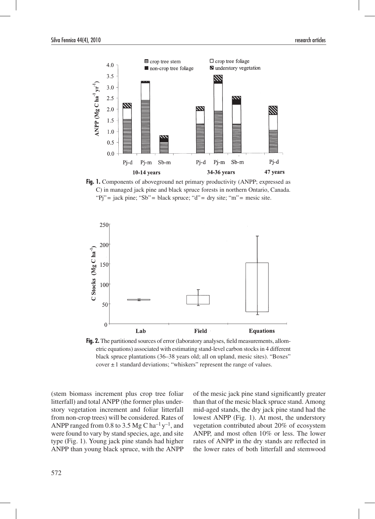

**Fig. 1.** Components of aboveground net primary productivity (ANPP; expressed as C) in managed jack pine and black spruce forests in northern Ontario, Canada. "Pj" = jack pine; "Sb" = black spruce; "d" = dry site; "m" = mesic site.



Fig. 2. The partitioned sources of error (laboratory analyses, field measurements, allometric equations) associated with estimating stand-level carbon stocks in 4 different black spruce plantations (36–38 years old; all on upland, mesic sites). "Boxes" cover  $\pm 1$  standard deviations; "whiskers" represent the range of values.

(stem biomass increment plus crop tree foliar litterfall) and total ANPP (the former plus understory vegetation increment and foliar litterfall from non-crop trees) will be considered. Rates of ANPP ranged from 0.8 to 3.5 Mg C ha<sup>-1</sup> y<sup>-1</sup>, and were found to vary by stand species, age, and site type (Fig. 1). Young jack pine stands had higher ANPP than young black spruce, with the ANPP of the mesic jack pine stand significantly greater than that of the mesic black spruce stand. Among mid-aged stands, the dry jack pine stand had the lowest ANPP (Fig. 1). At most, the understory vegetation contributed about 20% of ecosystem ANPP, and most often 10% or less. The lower rates of ANPP in the dry stands are reflected in the lower rates of both litterfall and stemwood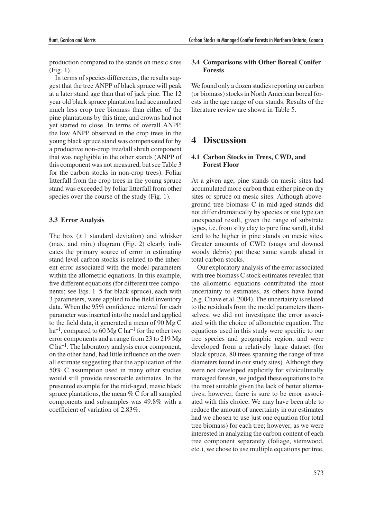production compared to the stands on mesic sites (Fig. 1).

In terms of species differences, the results suggest that the tree ANPP of black spruce will peak at a later stand age than that of jack pine. The 12 year old black spruce plantation had accumulated much less crop tree biomass than either of the pine plantations by this time, and crowns had not yet started to close. In terms of overall ANPP, the low ANPP observed in the crop trees in the young black spruce stand was compensated for by a productive non-crop tree/tall shrub component that was negligible in the other stands (ANPP of this component was not measured, but see Table 3 for the carbon stocks in non-crop trees). Foliar litterfall from the crop trees in the young spruce stand was exceeded by foliar litterfall from other species over the course of the study (Fig. 1).

### **3.3 Error Analysis**

The box  $(\pm 1)$  standard deviation) and whisker (max. and min.) diagram (Fig. 2) clearly indicates the primary source of error in estimating stand level carbon stocks is related to the inherent error associated with the model parameters within the allometric equations. In this example, five different equations (for different tree components; see Eqs. 1–5 for black spruce), each with 3 parameters, were applied to the field inventory data. When the 95% confidence interval for each parameter was inserted into the model and applied to the field data, it generated a mean of 90 Mg C ha<sup>-1</sup>, compared to 60 Mg C ha<sup>-1</sup> for the other two error components and a range from 23 to 219 Mg C ha–1. The laboratory analysis error component, on the other hand, had little influence on the overall estimate suggesting that the application of the 50% C assumption used in many other studies would still provide reasonable estimates. In the presented example for the mid-aged, mesic black spruce plantations, the mean % C for all sampled components and subsamples was 49.8% with a coefficient of variation of 2.83%.

### **3.4 Comparisons with Other Boreal Conifer Forests**

We found only a dozen studies reporting on carbon (or biomass) stocks in North American boreal forests in the age range of our stands. Results of the literature review are shown in Table 5.

# **4 Discussion**

### **4.1 Carbon Stocks in Trees, CWD, and Forest Floor**

At a given age, pine stands on mesic sites had accumulated more carbon than either pine on dry sites or spruce on mesic sites. Although aboveground tree biomass C in mid-aged stands did not differ dramatically by species or site type (an unexpected result, given the range of substrate types, i.e. from silty clay to pure fine sand), it did tend to be higher in pine stands on mesic sites. Greater amounts of CWD (snags and downed woody debris) put these same stands ahead in total carbon stocks.

Our exploratory analysis of the error associated with tree biomass C stock estimates revealed that the allometric equations contributed the most uncertainty to estimates, as others have found (e.g. Chave et al. 2004). The uncertainty is related to the residuals from the model parameters themselves; we did not investigate the error associated with the choice of allometric equation. The equations used in this study were specific to our tree species and geographic region, and were developed from a relatively large dataset (for black spruce, 80 trees spanning the range of tree diameters found in our study sites). Although they were not developed explicitly for silviculturally managed forests, we judged these equations to be the most suitable given the lack of better alternatives; however, there is sure to be error associated with this choice. We may have been able to reduce the amount of uncertainty in our estimates had we chosen to use just one equation (for total tree biomass) for each tree; however, as we were interested in analyzing the carbon content of each tree component separately (foliage, stemwood, etc.), we chose to use multiple equations per tree,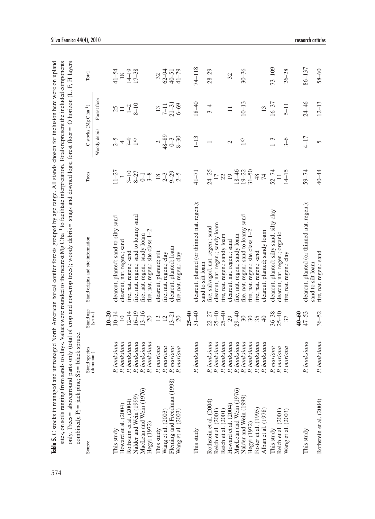|                                                                                                              |                                                                              |                                | Table 5. C stocks in managed and unmanaged North American boreal conifer forests grouped by age range. All stands chosen for inclusion here were on upland                                                                                                         |                        |                               |                                               |                    |
|--------------------------------------------------------------------------------------------------------------|------------------------------------------------------------------------------|--------------------------------|--------------------------------------------------------------------------------------------------------------------------------------------------------------------------------------------------------------------------------------------------------------------|------------------------|-------------------------------|-----------------------------------------------|--------------------|
| sites, on soils ranging from sands<br>only. Trees = aboveground parts<br>combined); $Pj =$ jack pine; $Sb =$ | black spruce                                                                 |                                | to clays. Values were rounded to the nearest Mg C ha <sup>-1</sup> to facilitate interpretation. Totals represent the included components<br>only (total of crop and non-crop trees); woody debris= snags and downed logs; forest floor= O horizon (L, F, H layers |                        |                               |                                               |                    |
| Source                                                                                                       | Stand species<br>(dominant)                                                  | Stand age<br>(years)           | Stand origins and site information                                                                                                                                                                                                                                 | Trees                  |                               | C stocks (Mg C ha <sup>-1</sup> )             | Total              |
|                                                                                                              |                                                                              |                                |                                                                                                                                                                                                                                                                    |                        | Woody debris                  | Forest floor                                  |                    |
|                                                                                                              |                                                                              | $10 - 20$                      |                                                                                                                                                                                                                                                                    |                        |                               |                                               |                    |
| This study                                                                                                   | P. banksiana                                                                 | $10 - 14$                      | clearcut, planted; sand to silty sand                                                                                                                                                                                                                              | $11 - 27$              |                               | 25                                            | $41 - 54$          |
| Howard et al. (2004)                                                                                         | P. banksiana                                                                 | $\overline{10}$                | clearcut, nat. regen.; sand                                                                                                                                                                                                                                        | $\tilde{\epsilon}$     |                               |                                               | 18                 |
| Rothstein et al. (2004)                                                                                      |                                                                              | $12 - 14$                      | fire, nat. regen.; sand                                                                                                                                                                                                                                            | $3 - 10$<br>$8 - 27$   | $2 - 5$<br>$7 - 9$<br>$2 - 5$ | $\begin{array}{c}\n\Box \\ \Box\n\end{array}$ | $14-19$<br>$17-38$ |
| Nalder and Wein (1999)                                                                                       |                                                                              | $16 - 19$                      | fire, nat. regen.; sand to loamy sand                                                                                                                                                                                                                              |                        |                               |                                               |                    |
| MacLean and Wein (1976)<br>Hegyi (1972)                                                                      | P. banksiana<br>P. banksiana<br>P. banksiana<br>P. banksiana                 | $13 - 16$<br>$20\,$            | fire, nat. regen.; site class 1-2<br>fire, nat. regen.; sandy loam                                                                                                                                                                                                 | $\frac{1}{3-8}$        |                               |                                               |                    |
| This study                                                                                                   | P. mariana                                                                   |                                | clearcut, planted; silt                                                                                                                                                                                                                                            | $\overline{18}$        | $\overline{\mathcal{L}}$      | 13                                            | 32                 |
| Wang et al. (2003)                                                                                           | P. mariana                                                                   | $12 \overline{2}$              | fire, nat. regen.; clay                                                                                                                                                                                                                                            | $2 - 3$                | $48 - 89$                     |                                               | $62 - 94$          |
| Fleming and Freedman (1998)                                                                                  |                                                                              | $13 - 21$                      | clearcut, planted; loam                                                                                                                                                                                                                                            |                        | $0 - 3$                       | $7-11$<br>21-31<br>6-69                       | $40 - 51$          |
| Wang et al. (2003)                                                                                           | P. mariana<br>P. mariana                                                     | $20\,$                         | fire, nat. regen.; clay                                                                                                                                                                                                                                            | $9 - 29$<br>2-5        | $8 - 30$                      |                                               | $41 - 79$          |
|                                                                                                              |                                                                              | $25 - 40$                      |                                                                                                                                                                                                                                                                    |                        |                               |                                               |                    |
| This study                                                                                                   | P. banksiana                                                                 | $31 - 40$                      | clearcut, planted (or thinned nat. regen.);<br>sand to silt loam                                                                                                                                                                                                   | $41 - 71$              | $1 - 13$                      | $18 - 40$                                     | $74 - 118$         |
| Rothstein et al. (2004)                                                                                      | P. banksiana                                                                 | $22 - 27$                      | fire, salvaged, nat. regen.; sand                                                                                                                                                                                                                                  | $24 - 25$              | $\overline{\phantom{0}}$      | $3-4$                                         | $28 - 29$          |
| Reich et al. (2001)                                                                                          | P. banksiana<br>P. banksiana<br>P. banksiana<br>P. banksiana<br>P. banksiana | $25 - 40$<br>$25 - 40$<br>$29$ | clearcut, nat. regen.; sandy loam                                                                                                                                                                                                                                  | $\frac{17}{22}$        |                               |                                               |                    |
| Reich et al. (2001)                                                                                          |                                                                              |                                | ire, nat. regen.; sandy loam                                                                                                                                                                                                                                       |                        |                               |                                               |                    |
| Howard et al. (2004)                                                                                         |                                                                              |                                | clearcut, nat. regen.; sand                                                                                                                                                                                                                                        | $\overline{19}$        | $\mathcal{L}$                 | $\equiv$                                      | 32                 |
| MacLean and Wein (1976)                                                                                      |                                                                              | $29 - 40$                      | fire, nat. regen.; sandy loam                                                                                                                                                                                                                                      | $18 - 46$              |                               |                                               |                    |
| Nalder and Wein (1999)                                                                                       |                                                                              | 30                             | fire, nat. regen.; sand to loamy sand                                                                                                                                                                                                                              |                        | $\frac{1}{2}$                 | $10 - 13$                                     | $30 - 36$          |
| Hegyi (1972)                                                                                                 | anksiana<br>P, b                                                             | $30\,$                         | fire, nat. regen.; site class 1-2                                                                                                                                                                                                                                  | $19-22$<br>31-50<br>48 |                               |                                               |                    |
| Foster et al. (1995)                                                                                         | P. banksiana<br>P. banksiana                                                 | 35                             | fire, nat. regen.; sand                                                                                                                                                                                                                                            |                        |                               |                                               |                    |
| Alban et al. (1978)                                                                                          |                                                                              |                                | clearcut, planted; sandy loam                                                                                                                                                                                                                                      | 74                     |                               | 13                                            |                    |
| This study                                                                                                   | uriana<br>P, n                                                               | $36 - 38$                      | clearcut, planted; silty sand, silty clay                                                                                                                                                                                                                          | $52 - 74$              | $1 - 3$                       | $16 - 37$                                     | $73 - 109$         |
| Reich et al. (2001)                                                                                          | uariana<br>P, m                                                              | $25 - 40$                      | clearcut, nat. regen.; organic                                                                                                                                                                                                                                     | $\Box$                 |                               |                                               |                    |
| Wang et al. (2003)                                                                                           | P. mariana                                                                   | 37                             | fire, nat. regen.; clay                                                                                                                                                                                                                                            | $14 - 15$              | $3 - 6$                       | $5 - 11$                                      | $26 - 28$          |
|                                                                                                              |                                                                              | $40 - 60$                      |                                                                                                                                                                                                                                                                    |                        |                               |                                               |                    |
| This study                                                                                                   | P. banksiana                                                                 | $47 - 53$                      | clearcut, planted (or thinned nat. regen.);<br>sand to silt loam                                                                                                                                                                                                   | $59 - 74$              | $4 - 17$                      | $24 - 46$                                     | 86-137             |
| Rothstein et al. (2004)                                                                                      | P. banksiana                                                                 | $36 - 52$                      | fire, nat. regen.; sand                                                                                                                                                                                                                                            | 40-44                  | 5                             | $12 - 13$                                     | $58 - 60$          |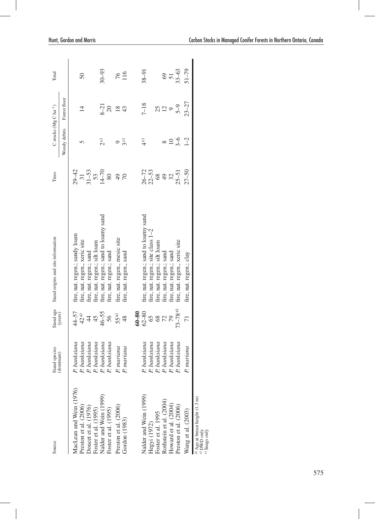| Source                                                                                           | Stand species<br>(dominant) | Stand age         | Stand origins and site information    | Trees                                            | C stocks (Mg C ha <sup>-1</sup> ) |                | Total               |
|--------------------------------------------------------------------------------------------------|-----------------------------|-------------------|---------------------------------------|--------------------------------------------------|-----------------------------------|----------------|---------------------|
|                                                                                                  |                             | (years)           |                                       |                                                  | Woody debris                      | Forest floor   |                     |
| MacLean and Wein (1976)                                                                          | banksiana                   | 44-57             | fire, nat. regen.; sandy loam         |                                                  |                                   |                |                     |
| Preston et al. (2006)                                                                            | banksiana                   | 42 <sup>a</sup>   | fire, nat. regen., xeric site         |                                                  | n                                 | $\overline{4}$ | $50\,$              |
| Doucet et al. (1976)                                                                             | banksiana<br>5.             | $\ddot{4}$        | fire, nat. regen.; sand               |                                                  |                                   |                |                     |
| Foster et al. (1995)                                                                             | banksiana<br>P.             |                   | fire, nat. regen.; silt loam          |                                                  |                                   |                |                     |
| Nalder and Wein (1999)                                                                           | banksiana<br>P.             | $45$<br>$46 - 55$ | fire, nat. regen.; sand to loamy sand | $29 - 42$<br>$31 - 53$<br>$53 - 70$<br>$14 - 70$ | $2^{\circ}$                       | $8 - 21$       | $30 - 93$           |
| Foster et al. (1995)                                                                             | banksiana                   | 56                | fire, nat. regen.; sand               | $80\,$                                           |                                   | $20\,$         |                     |
| Preston et al. (2006)                                                                            | mariana                     | 55 <sup>a)</sup>  | fire, nat. regen., mesic site         |                                                  |                                   |                |                     |
| Gordon (1983)                                                                                    | mariana                     | 48                | fire, nat. regen., sand               | $^{26}$                                          | 3c)                               | 184            | 76<br>116           |
|                                                                                                  |                             | $60 - 80$         |                                       |                                                  |                                   |                |                     |
| Nalder and Wein (1999)                                                                           | banksiana                   | $62 - 80$         | fire, nat. regen.; sand to loamy sand |                                                  | $4^{\circ}$                       | $7 - 18$       | $38 - 91$           |
| Hegyi (1972)                                                                                     | banksiana                   |                   | fire, nat. regen.; site class 1-2     | $26 - 53$<br>$21 - 53$<br>$28 - 32$              |                                   |                |                     |
| Foster et al. 1995                                                                               | banksiana                   |                   | fire, nat. regen.; silt loam          |                                                  |                                   |                |                     |
| Rothstein et al. (2004)                                                                          | banksiana<br>5.             | 582               | fire, nat. regen.; sand               |                                                  |                                   | 25             |                     |
| Howard et al. (2004)                                                                             | banksiana<br>P.             | 79                | fire, nat. regen.; sand               |                                                  | $\overline{10}$                   |                |                     |
| Preston et al. (2006)                                                                            | banksiana<br>P.             | $73 - 78a$        | fire, nat. regen., xeric site         | $25 - 51$                                        | $3 - 6$                           | $5 - 9$        | $69$<br>51<br>33–63 |
| Wang et al. (2003)                                                                               | mariana                     | $\overline{7}$    | fire, nat. regen.; clay               | $27 - 50$                                        | $1 - 2$                           | $23 - 27$      | $51 - 79$           |
| <sup>a)</sup> Age at breast height (1.3 m)<br><sup>c)</sup> DWD only<br><sup>c)</sup> Snags only |                             |                   |                                       |                                                  |                                   |                |                     |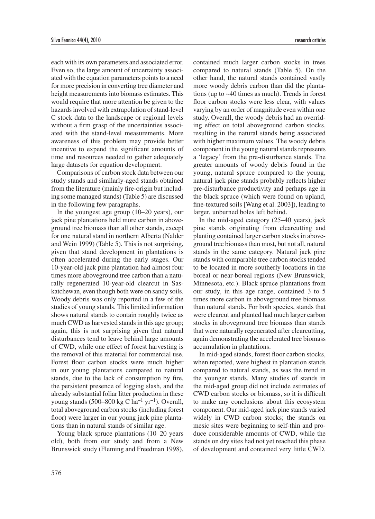each with its own parameters and associated error. Even so, the large amount of uncertainty associated with the equation parameters points to a need for more precision in converting tree diameter and height measurements into biomass estimates. This would require that more attention be given to the hazards involved with extrapolation of stand-level C stock data to the landscape or regional levels without a firm grasp of the uncertainties associated with the stand-level measurements. More awareness of this problem may provide better incentive to expend the significant amounts of time and resources needed to gather adequately large datasets for equation development.

Comparisons of carbon stock data between our study stands and similarly-aged stands obtained from the literature (mainly fire-origin but including some managed stands) (Table 5) are discussed in the following few paragraphs.

In the youngest age group (10–20 years), our jack pine plantations held more carbon in aboveground tree biomass than all other stands, except for one natural stand in northern Alberta (Nalder and Wein 1999) (Table 5). This is not surprising, given that stand development in plantations is often accelerated during the early stages. Our 10-year-old jack pine plantation had almost four times more aboveground tree carbon than a naturally regenerated 10-year-old clearcut in Saskatchewan, even though both were on sandy soils. Woody debris was only reported in a few of the studies of young stands. This limited information shows natural stands to contain roughly twice as much CWD as harvested stands in this age group; again, this is not surprising given that natural disturbances tend to leave behind large amounts of CWD, while one effect of forest harvesting is the removal of this material for commercial use. Forest floor carbon stocks were much higher in our young plantations compared to natural stands, due to the lack of consumption by fire, the persistent presence of logging slash, and the already substantial foliar litter production in these young stands (500–800 kg C ha<sup>-1</sup> yr<sup>-1</sup>). Overall, total aboveground carbon stocks (including forest floor) were larger in our young jack pine plantations than in natural stands of similar age.

Young black spruce plantations (10–20 years old), both from our study and from a New Brunswick study (Fleming and Freedman 1998), contained much larger carbon stocks in trees compared to natural stands (Table 5). On the other hand, the natural stands contained vastly more woody debris carbon than did the plantations (up to ~40 times as much). Trends in forest floor carbon stocks were less clear, with values varying by an order of magnitude even within one study. Overall, the woody debris had an overriding effect on total aboveground carbon stocks, resulting in the natural stands being associated with higher maximum values. The woody debris component in the young natural stands represents a 'legacy' from the pre-disturbance stands. The greater amounts of woody debris found in the young, natural spruce compared to the young, natural jack pine stands probably reflects higher pre-disturbance productivity and perhaps age in the black spruce (which were found on upland, fine-textured soils [Wang et al. 2003]), leading to larger, unburned boles left behind.

In the mid-aged category (25–40 years), jack pine stands originating from clearcutting and planting contained larger carbon stocks in aboveground tree biomass than most, but not all, natural stands in the same category. Natural jack pine stands with comparable tree carbon stocks tended to be located in more southerly locations in the boreal or near-boreal regions (New Brunswick, Minnesota, etc.). Black spruce plantations from our study, in this age range, contained 3 to 5 times more carbon in aboveground tree biomass than natural stands. For both species, stands that were clearcut and planted had much larger carbon stocks in aboveground tree biomass than stands that were naturally regenerated after clearcutting, again demonstrating the accelerated tree biomass accumulation in plantations.

In mid-aged stands, forest floor carbon stocks, when reported, were highest in plantation stands compared to natural stands, as was the trend in the younger stands. Many studies of stands in the mid-aged group did not include estimates of CWD carbon stocks or biomass, so it is difficult to make any conclusions about this ecosystem component. Our mid-aged jack pine stands varied widely in CWD carbon stocks; the stands on mesic sites were beginning to self-thin and produce considerable amounts of CWD, while the stands on dry sites had not yet reached this phase of development and contained very little CWD.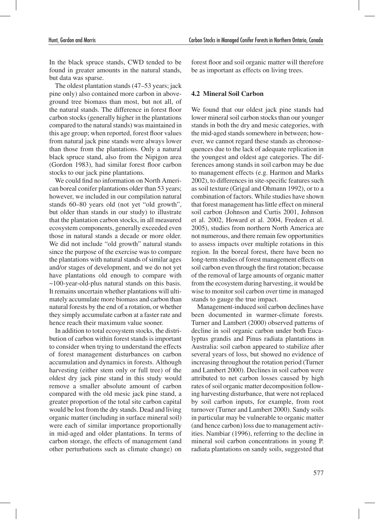In the black spruce stands, CWD tended to be found in greater amounts in the natural stands, but data was sparse.

The oldest plantation stands (47–53 years; jack pine only) also contained more carbon in aboveground tree biomass than most, but not all, of the natural stands. The difference in forest floor carbon stocks (generally higher in the plantations compared to the natural stands) was maintained in this age group; when reported, forest floor values from natural jack pine stands were always lower than those from the plantations. Only a natural black spruce stand, also from the Nipigon area (Gordon 1983), had similar forest floor carbon stocks to our jack pine plantations.

We could find no information on North American boreal conifer plantations older than 53 years; however, we included in our compilation natural stands 60–80 years old (not yet "old growth", but older than stands in our study) to illustrate that the plantation carbon stocks, in all measured ecosystem components, generally exceeded even those in natural stands a decade or more older. We did not include "old growth" natural stands since the purpose of the exercise was to compare the plantations with natural stands of similar ages and/or stages of development, and we do not yet have plantations old enough to compare with  $\sim$ 100-year-old-plus natural stands on this basis. It remains uncertain whether plantations will ultimately accumulate more biomass and carbon than natural forests by the end of a rotation, or whether they simply accumulate carbon at a faster rate and hence reach their maximum value sooner.

In addition to total ecosystem stocks, the distribution of carbon within forest stands is important to consider when trying to understand the effects of forest management disturbances on carbon accumulation and dynamics in forests. Although harvesting (either stem only or full tree) of the oldest dry jack pine stand in this study would remove a smaller absolute amount of carbon compared with the old mesic jack pine stand, a greater proportion of the total site carbon capital would be lost from the dry stands. Dead and living organic matter (including in surface mineral soil) were each of similar importance proportionally in mid-aged and older plantations. In terms of carbon storage, the effects of management (and other perturbations such as climate change) on forest floor and soil organic matter will therefore be as important as effects on living trees.

#### **4.2 Mineral Soil Carbon**

We found that our oldest jack pine stands had lower mineral soil carbon stocks than our younger stands in both the dry and mesic categories, with the mid-aged stands somewhere in between; however, we cannot regard these stands as chronosequences due to the lack of adequate replication in the youngest and oldest age categories. The differences among stands in soil carbon may be due to management effects (e.g. Harmon and Marks 2002), to differences in site-specific features such as soil texture (Grigal and Ohmann 1992), or to a combination of factors. While studies have shown that forest management has little effect on mineral soil carbon (Johnson and Curtis 2001, Johnson et al. 2002, Howard et al. 2004, Fredeen et al. 2005), studies from northern North America are not numerous, and there remain few opportunities to assess impacts over multiple rotations in this region. In the boreal forest, there have been no long-term studies of forest management effects on soil carbon even through the first rotation; because of the removal of large amounts of organic matter from the ecosystem during harvesting, it would be wise to monitor soil carbon over time in managed stands to gauge the true impact.

Management-induced soil carbon declines have been documented in warmer-climate forests. Turner and Lambert (2000) observed patterns of decline in soil organic carbon under both Eucalyptus grandis and Pinus radiata plantations in Australia: soil carbon appeared to stabilize after several years of loss, but showed no evidence of increasing throughout the rotation period (Turner and Lambert 2000). Declines in soil carbon were attributed to net carbon losses caused by high rates of soil organic matter decomposition following harvesting disturbance, that were not replaced by soil carbon inputs, for example, from root turnover (Turner and Lambert 2000). Sandy soils in particular may be vulnerable to organic matter (and hence carbon) loss due to management activities. Nambiar (1996), referring to the decline in mineral soil carbon concentrations in young P. radiata plantations on sandy soils, suggested that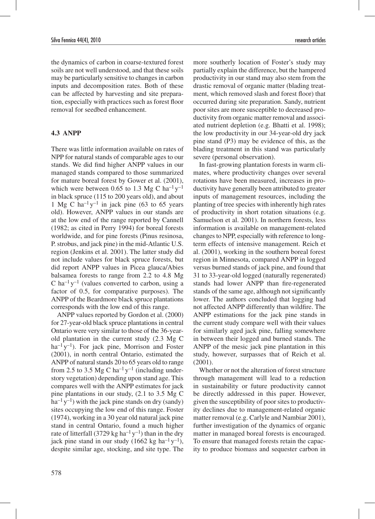the dynamics of carbon in coarse-textured forest soils are not well understood, and that these soils may be particularly sensitive to changes in carbon inputs and decomposition rates. Both of these can be affected by harvesting and site preparation, especially with practices such as forest floor removal for seedbed enhancement.

### **4.3 ANPP**

There was little information available on rates of NPP for natural stands of comparable ages to our stands. We did find higher ANPP values in our managed stands compared to those summarized for mature boreal forest by Gower et al. (2001), which were between 0.65 to 1.3 Mg C ha<sup>-1</sup>  $y$ <sup>-1</sup> in black spruce (115 to 200 years old), and about 1 Mg C ha<sup>-1</sup> y<sup>-1</sup> in jack pine (63 to 65 years old). However, ANPP values in our stands are at the low end of the range reported by Cannell (1982; as cited in Perry 1994) for boreal forests worldwide, and for pine forests (Pinus resinosa, P. strobus, and jack pine) in the mid-Atlantic U.S. region (Jenkins et al. 2001). The latter study did not include values for black spruce forests, but did report ANPP values in Picea glauca/Abies balsamea forests to range from 2.2 to 4.8 Mg C ha<sup>-1</sup> y<sup>-1</sup> (values converted to carbon, using a factor of 0.5, for comparative purposes). The ANPP of the Beardmore black spruce plantations corresponds with the low end of this range.

ANPP values reported by Gordon et al. (2000) for 27-year-old black spruce plantations in central Ontario were very similar to those of the 36-yearold plantation in the current study (2.3 Mg C  $ha^{-1}y^{-1}$ ). For jack pine, Morrison and Foster (2001), in north central Ontario, estimated the ANPP of natural stands 20 to 65 years old to range from 2.5 to 3.5 Mg C ha<sup>-1</sup> y<sup>-1</sup> (including understory vegetation) depending upon stand age. This compares well with the ANPP estimates for jack pine plantations in our study, (2.1 to 3.5 Mg C  $ha^{-1}y^{-1}$ ) with the jack pine stands on dry (sandy) sites occupying the low end of this range. Foster (1974), working in a 30 year old natural jack pine stand in central Ontario, found a much higher rate of litterfall (3729 kg ha<sup>-1</sup> y<sup>-1</sup>) than in the dry jack pine stand in our study  $(1662 \text{ kg ha}^{-1} \text{y}^{-1})$ , despite similar age, stocking, and site type. The

more southerly location of Foster's study may partially explain the difference, but the hampered productivity in our stand may also stem from the drastic removal of organic matter (blading treatment, which removed slash and forest floor) that occurred during site preparation. Sandy, nutrient poor sites are more susceptible to decreased productivity from organic matter removal and associated nutrient depletion (e.g. Bhatti et al. 1998); the low productivity in our 34-year-old dry jack pine stand (P3) may be evidence of this, as the blading treatment in this stand was particularly severe (personal observation).

In fast-growing plantation forests in warm climates, where productivity changes over several rotations have been measured, increases in productivity have generally been attributed to greater inputs of management resources, including the planting of tree species with inherently high rates of productivity in short rotation situations (e.g. Samuelson et al. 2001). In northern forests, less information is available on management-related changes to NPP, especially with reference to longterm effects of intensive management. Reich et al. (2001), working in the southern boreal forest region in Minnesota, compared ANPP in logged versus burned stands of jack pine, and found that 31 to 33-year-old logged (naturally regenerated) stands had lower ANPP than fire-regenerated stands of the same age, although not significantly lower. The authors concluded that logging had not affected ANPP differently than wildfire. The ANPP estimations for the jack pine stands in the current study compare well with their values for similarly aged jack pine, falling somewhere in between their logged and burned stands. The ANPP of the mesic jack pine plantation in this study, however, surpasses that of Reich et al. (2001).

Whether or not the alteration of forest structure through management will lead to a reduction in sustainability or future productivity cannot be directly addressed in this paper. However, given the susceptibility of poor sites to productivity declines due to management-related organic matter removal (e.g. Carlyle and Nambiar 2001), further investigation of the dynamics of organic matter in managed boreal forests is encouraged. To ensure that managed forests retain the capacity to produce biomass and sequester carbon in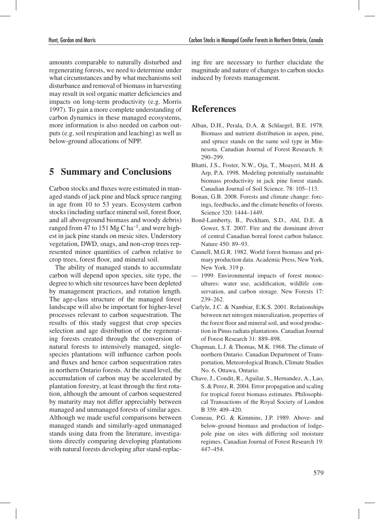amounts comparable to naturally disturbed and regenerating forests, we need to determine under what circumstances and by what mechanisms soil disturbance and removal of biomass in harvesting may result in soil organic matter deficiencies and impacts on long-term productivity (e.g. Morris 1997). To gain a more complete understanding of carbon dynamics in these managed ecosystems, more information is also needed on carbon outputs (e.g. soil respiration and leaching) as well as below-ground allocations of NPP.

## **5 Summary and Conclusions**

Carbon stocks and fluxes were estimated in managed stands of jack pine and black spruce ranging in age from 10 to 53 years. Ecosystem carbon stocks (including surface mineral soil, forest floor, and all aboveground biomass and woody debris) ranged from 47 to 151 Mg C ha<sup>-1</sup>, and were highest in jack pine stands on mesic sites. Understory vegetation, DWD, snags, and non-crop trees represented minor quantities of carbon relative to crop trees, forest floor, and mineral soil.

The ability of managed stands to accumulate carbon will depend upon species, site type, the degree to which site resources have been depleted by management practices, and rotation length. The age-class structure of the managed forest landscape will also be important for higher-level processes relevant to carbon sequestration. The results of this study suggest that crop species selection and age distribution of the regenerating forests created through the conversion of natural forests to intensively managed, singlespecies plantations will influence carbon pools and fluxes and hence carbon sequestration rates in northern Ontario forests. At the stand level, the accumulation of carbon may be accelerated by plantation forestry, at least through the first rotation, although the amount of carbon sequestered by maturity may not differ appreciably between managed and unmanaged forests of similar ages. Although we made useful comparisons between managed stands and similarly-aged unmanaged stands using data from the literature, investigations directly comparing developing plantations with natural forests developing after stand-replacing fire are necessary to further elucidate the magnitude and nature of changes to carbon stocks induced by forests management.

# **References**

- Alban, D.H., Perala, D.A. & Schlaegel, B.E. 1978. Biomass and nutrient distribution in aspen, pine, and spruce stands on the same soil type in Minnesota. Canadian Journal of Forest Research. 8: 290–299.
- Bhatti, J.S., Foster, N.W., Oja, T., Moayeri, M.H. & Arp, P.A. 1998. Modeling potentially sustainable biomass productivity in jack pine forest stands. Canadian Journal of Soil Science. 78: 105–113.
- Bonan, G.B. 2008. Forests and climate change: forcings, feedbacks, and the climate benefits of forests. Science 320: 1444–1449.
- Bond-Lamberty, B., Peckham, S.D., Ahl, D.E. & Gower, S.T. 2007. Fire and the dominant driver of central Canadian boreal forest carbon balance. Nature 450: 89–93.
- Cannell, M.G.R. 1982. World forest biomass and primary production data. Academic Press, New York, New York. 319 p.
- 1999. Environmental impacts of forest monocultures: water use, acidification, wildlife conservation, and carbon storage. New Forests 17: 239–262.
- Carlyle, J.C. & Nambiar, E.K.S. 2001. Relationships between net nitrogen mineralization, properties of the forest floor and mineral soil, and wood production in Pinus radiata plantations. Canadian Journal of Forest Research 31: 889–898.
- Chapman, L.J. & Thomas, M.K. 1968. The climate of northern Ontario. Canadian Department of Transportation, Meteorological Branch, Climate Studies No. 6, Ottawa, Ontario.
- Chave, J., Condit, R., Aguilar, S., Hernandez, A., Lao, S. & Perez, R. 2004. Error propagation and scaling for tropical forest biomass estimates. Philosophical Transactions of the Royal Society of London B 359: 409–420.
- Comeau, P.G. & Kimmins, J.P. 1989. Above- and below-ground biomass and production of lodgepole pine on sites with differing soil moisture regimes. Canadian Journal of Forest Research 19: 447–454.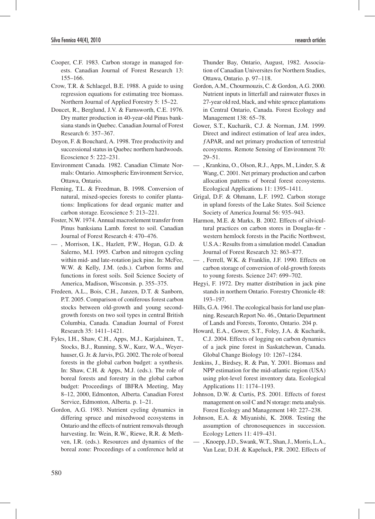- Cooper, C.F. 1983. Carbon storage in managed forests. Canadian Journal of Forest Research 13: 155–166.
- Crow, T.R. & Schlaegel, B.E. 1988. A guide to using regression equations for estimating tree biomass. Northern Journal of Applied Forestry 5: 15–22.
- Doucet, R., Berglund, J.V. & Farnsworth, C.E. 1976. Dry matter production in 40-year-old Pinus banksiana stands in Quebec. Canadian Journal of Forest Research 6: 357–367.
- Doyon, F. & Bouchard, A. 1998. Tree productivity and successional status in Quebec northern hardwoods. Ecoscience 5: 222–231.
- Environment Canada. 1982. Canadian Climate Normals: Ontario. Atmospheric Environment Service, Ottawa, Ontario.
- Fleming, T.L. & Freedman, B. 1998. Conversion of natural, mixed-species forests to conifer plantations: Implications for dead organic matter and carbon storage. Ecoscience 5: 213–221.
- Foster, N.W. 1974. Annual macroelement transfer from Pinus banksiana Lamb. forest to soil. Canadian Journal of Forest Research 4: 470–476.
- , Morrison, I.K., Hazlett, P.W., Hogan, G.D. & Salerno, M.I. 1995. Carbon and nitrogen cycling within mid- and late-rotation jack pine. In: McFee, W.W. & Kelly, J.M. (eds.). Carbon forms and functions in forest soils. Soil Science Society of America, Madison, Wisconsin. p. 355–375.
- Fredeen, A.L., Bois, C.H., Janzen, D.T. & Sanborn, P.T. 2005. Comparison of coniferous forest carbon stocks between old-growth and young secondgrowth forests on two soil types in central British Columbia, Canada. Canadian Journal of Forest Research 35: 1411–1421.
- Fyles, I.H., Shaw, C.H., Apps, M.J., Karjalainen, T., Stocks, B.J., Running, S.W., Kurz, W.A., Weyerhauser, G. Jr. & Jarvis, P.G. 2002. The role of boreal forests in the global carbon budget: a synthesis. In: Shaw, C.H. & Apps, M.J. (eds.). The role of boreal forests and forestry in the global carbon budget: Proceedings of IBFRA Meeting, May 8–12, 2000, Edmonton, Alberta. Canadian Forest Service, Edmonton, Alberta. p. 1–21.
- Gordon, A.G. 1983. Nutrient cycling dynamics in differing spruce and mixedwood ecosystems in Ontario and the effects of nutrient removals through harvesting. In: Wein, R.W., Riewe, R.R. & Methven, I.R. (eds.). Resources and dynamics of the boreal zone: Proceedings of a conference held at

Thunder Bay, Ontario, August, 1982. Association of Canadian Universites for Northern Studies, Ottawa, Ontario. p. 97–118.

- Gordon, A.M., Chourmouzis, C. & Gordon, A.G. 2000. Nutrient inputs in litterfall and rainwater fluxes in 27-year old red, black, and white spruce plantations in Central Ontario, Canada. Forest Ecology and Management 138: 65–78.
- Gower, S.T., Kucharik, C.J. & Norman, J.M. 1999. Direct and indirect estimation of leaf area index, ƒAPAR, and net primary production of terrestrial ecosystems. Remote Sensing of Environment 70: 29–51.
- , Krankina, O., Olson, R.J., Apps, M., Linder, S. & Wang, C. 2001. Net primary production and carbon allocation patterns of boreal forest ecosystems. Ecological Applications 11: 1395–1411.
- Grigal, D.F. & Ohmann, L.F. 1992. Carbon storage in upland forests of the Lake States. Soil Science Society of America Journal 56: 935–943.
- Harmon, M.E. & Marks, B. 2002. Effects of silvicultural practices on carbon stores in Douglas-fir western hemlock forests in the Pacific Northwest, U.S.A.: Results from a simulation model. Canadian Journal of Forest Research 32: 863–877.
- , Ferrell, W.K. & Franklin, J.F. 1990. Effects on carbon storage of conversion of old-growth forests to young forests. Science 247: 699–702.
- Hegyi, F. 1972. Dry matter distribution in jack pine stands in northern Ontario. Forestry Chronicle 48: 193–197.
- Hills, G.A. 1961. The ecological basis for land use planning. Research Report No. 46., Ontario Department of Lands and Forests, Toronto, Ontario. 204 p.
- Howard, E.A., Gower, S.T., Foley, J.A. & Kucharik, C.J. 2004. Effects of logging on carbon dynamics of a jack pine forest in Saskatchewan, Canada. Global Change Biology 10: 1267–1284.
- Jenkins, J., Birdsey, R. & Pan, Y. 2001. Biomass and NPP estimation for the mid-atlantic region (USA) using plot-level forest inventory data. Ecological Applications 11: 1174–1193.
- Johnson, D.W. & Curtis, P.S. 2001. Effects of forest management on soil C and N storage: meta analysis. Forest Ecology and Management 140: 227–238.
- Johnson, E.A. & Miyanishi, K. 2008. Testing the assumption of chronosequences in succession. Ecology Letters 11: 419–431.
- , Knoepp, J.D., Swank, W.T., Shan, J., Morris, L.A., Van Lear, D.H. & Kapeluck, P.R. 2002. Effects of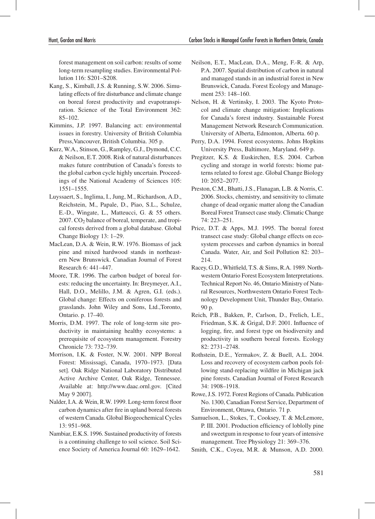forest management on soil carbon: results of some long-term resampling studies. Environmental Pollution 116: S201–S208.

- Kang, S., Kimball, J.S. & Running, S.W. 2006. Simulating effects of fire disturbance and climate change on boreal forest productivity and evapotranspiration. Science of the Total Environment 362: 85–102.
- Kimmins, J.P. 1997. Balancing act: environmental issues in forestry. University of British Columbia Press,Vancouver, British Columbia. 305 p.
- Kurz, W.A., Stinson, G., Rampley, G.J., Dymond, C.C. & Neilson, E.T. 2008. Risk of natural disturbances makes future contribution of Canada's forests to the global carbon cycle highly uncertain. Proceedings of the National Academy of Sciences 105: 1551–1555.
- Luyssaert, S., Inglima, I., Jung, M., Richardson, A.D., Reichstein, M., Papale, D., Piao, S.L., Schulze, E.-D., Wingate, L., Matteucci, G. & 55 others.  $2007$ .  $CO<sub>2</sub>$  balance of boreal, temperate, and tropical forests derived from a global database. Global Change Biology 13: 1–29.
- MacLean, D.A. & Wein, R.W. 1976. Biomass of jack pine and mixed hardwood stands in northeastern New Brunswick. Canadian Journal of Forest Research 6: 441–447.
- Moore, T.R. 1996. The carbon budget of boreal forests: reducing the uncertainty. In: Breymeyer, A.I., Hall, D.O., Melillo, J.M. & Agren, G.I. (eds.). Global change: Effects on coniferous forests and grasslands. John Wiley and Sons, Ltd.,Toronto, Ontario. p. 17–40.
- Morris, D.M. 1997. The role of long-term site productivity in maintaining healthy ecosystems: a prerequisite of ecosystem management. Forestry Chronicle 73: 732–739.
- Morrison, I.K. & Foster, N.W. 2001. NPP Boreal Forest: Mississagi, Canada, 1970–1973. [Data set]. Oak Ridge National Laboratory Distributed Active Archive Center, Oak Ridge, Tennessee. Available at: http://www.daac.ornl.gov. [Cited May 9 2007].
- Nalder, I.A. & Wein, R.W. 1999. Long-term forest floor carbon dynamics after fire in upland boreal forests of western Canada. Global Biogeochemical Cycles 13: 951–968.
- Nambiar, E.K.S. 1996. Sustained productivity of forests is a continuing challenge to soil science. Soil Science Society of America Journal 60: 1629–1642.
- Neilson, E.T., MacLean, D.A., Meng, F.-R. & Arp, P.A. 2007. Spatial distribution of carbon in natural and managed stands in an industrial forest in New Brunswick, Canada. Forest Ecology and Management 253: 148-160.
- Nelson, H. & Vertinsky, I. 2003. The Kyoto Protocol and climate change mitigation: Implications for Canada's forest industry. Sustainable Forest Management Network Research Communication. University of Alberta, Edmonton, Alberta. 60 p.
- Perry, D.A. 1994. Forest ecosystems. Johns Hopkins University Press, Baltimore, Maryland. 649 p.
- Pregitzer, K.S. & Euskirchen, E.S. 2004. Carbon cycling and storage in world forests: biome patterns related to forest age. Global Change Biology 10: 2052–2077.
- Preston, C.M., Bhatti, J.S., Flanagan, L.B. & Norris, C. 2006. Stocks, chemistry, and sensitivity to climate change of dead organic matter along the Canadian Boreal Forest Transect case study. Climatic Change 74: 223–251.
- Price, D.T. & Apps, M.J. 1995. The boreal forest transect case study: Global change effects on ecosystem processes and carbon dynamics in boreal Canada. Water, Air, and Soil Pollution 82: 203– 214.
- Racey, G.D., Whitfield, T.S. & Sims, R.A. 1989. Northwestern Ontario Forest Ecosystem Interpretations. Technical Report No. 46, Ontario Ministry of Natural Resources, Northwestern Ontario Forest Technology Development Unit, Thunder Bay, Ontario. 90 p.
- Reich, P.B., Bakken, P., Carlson, D., Frelich, L.E., Friedman, S.K. & Grigal, D.F. 2001. Influence of logging, fire, and forest type on biodiversity and productivity in southern boreal forests. Ecology 82: 2731–2748.
- Rothstein, D.E., Yermakov, Z. & Buell, A.L. 2004. Loss and recovery of ecosystem carbon pools following stand-replacing wildfire in Michigan jack pine forests. Canadian Journal of Forest Research 34: 1908–1918.
- Rowe, J.S. 1972. Forest Regions of Canada. Publication No. 1300, Canadian Forest Service, Department of Environment, Ottawa, Ontario. 71 p.
- Samuelson, L., Stokes, T., Cooksey, T. & McLemore, P. III. 2001. Production efficiency of loblolly pine and sweetgum in response to four years of intensive management. Tree Physiology 21: 369–376.
- Smith, C.K., Coyea, M.R. & Munson, A.D. 2000.